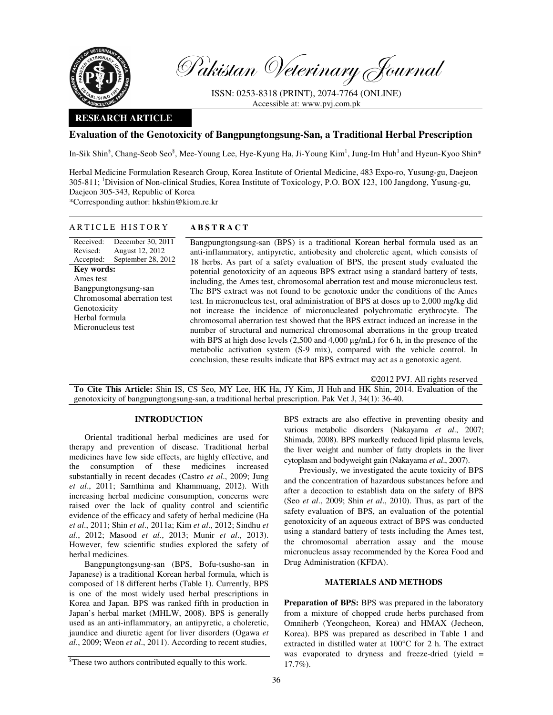

Pakistan Veterinary Journal

ISSN: 0253-8318 (PRINT), 2074-7764 (ONLINE) Accessible at: www.pvj.com.pk

# **RESEARCH ARTICLE**

# **Evaluation of the Genotoxicity of Bangpungtongsung-San, a Traditional Herbal Prescription**

In-Sik Shin<sup>§</sup>, Chang-Seob Seo<sup>§</sup>, Mee-Young Lee, Hye-Kyung Ha, Ji-Young Kim<sup>1</sup>, Jung-Im Huh<sup>1</sup> and Hyeun-Kyoo Shin\*

Herbal Medicine Formulation Research Group, Korea Institute of Oriental Medicine, 483 Expo-ro, Yusung-gu, Daejeon 305-811; <sup>1</sup>Division of Non-clinical Studies, Korea Institute of Toxicology, P.O. BOX 123, 100 Jangdong, Yusung-gu, Daejeon 305-343, Republic of Korea \*Corresponding author: hkshin@kiom.re.kr

#### Received: Revised: Accepted: December 30, 2011 August 12, 2012 September 28, 2012 **Key words:**  Ames test Bangpungtongsung-san Chromosomal aberration test Genotoxicity Herbal formula Micronucleus test

## ARTICLE HISTORY ABSTRACT

 Bangpungtongsung-san (BPS) is a traditional Korean herbal formula used as an anti-inflammatory, antipyretic, antiobesity and choleretic agent, which consists of 18 herbs. As part of a safety evaluation of BPS, the present study evaluated the potential genotoxicity of an aqueous BPS extract using a standard battery of tests, including, the Ames test, chromosomal aberration test and mouse micronucleus test. The BPS extract was not found to be genotoxic under the conditions of the Ames test. In micronucleus test, oral administration of BPS at doses up to 2,000 mg/kg did not increase the incidence of micronucleated polychromatic erythrocyte. The chromosomal aberration test showed that the BPS extract induced an increase in the number of structural and numerical chromosomal aberrations in the group treated with BPS at high dose levels  $(2,500 \text{ and } 4,000 \text{ µg/mL})$  for 6 h, in the presence of the metabolic activation system (S-9 mix), compared with the vehicle control. In conclusion, these results indicate that BPS extract may act as a genotoxic agent.

©2012 PVJ. All rights reserved **To Cite This Article:** Shin IS, CS Seo, MY Lee, HK Ha, JY Kim, JI Huh and HK Shin, 2014. Evaluation of the genotoxicity of bangpungtongsung-san, a traditional herbal prescription. Pak Vet J, 34(1): 36-40.

## **INTRODUCTION**

Oriental traditional herbal medicines are used for therapy and prevention of disease. Traditional herbal medicines have few side effects, are highly effective, and the consumption of these medicines increased substantially in recent decades (Castro *et al*., 2009; Jung *et al*., 2011; Sarnthima and Khammuang, 2012). With increasing herbal medicine consumption, concerns were raised over the lack of quality control and scientific evidence of the efficacy and safety of herbal medicine (Ha *et al*., 2011; Shin *et al*., 2011a; Kim *et al*., 2012; Sindhu *et al*., 2012; Masood *et al*., 2013; Munir *et al*., 2013). However, few scientific studies explored the safety of herbal medicines.

Bangpungtongsung-san (BPS, Bofu-tsusho-san in Japanese) is a traditional Korean herbal formula, which is composed of 18 different herbs (Table 1). Currently, BPS is one of the most widely used herbal prescriptions in Korea and Japan. BPS was ranked fifth in production in Japan's herbal market (MHLW, 2008). BPS is generally used as an anti-inflammatory, an antipyretic, a choleretic, jaundice and diuretic agent for liver disorders (Ogawa *et al*., 2009; Weon *et al*., 2011). According to recent studies,

BPS extracts are also effective in preventing obesity and various metabolic disorders (Nakayama *et al*., 2007; Shimada, 2008). BPS markedly reduced lipid plasma levels, the liver weight and number of fatty droplets in the liver cytoplasm and bodyweight gain (Nakayama *et al*., 2007).

Previously, we investigated the acute toxicity of BPS and the concentration of hazardous substances before and after a decoction to establish data on the safety of BPS (Seo *et al*., 2009; Shin *et al*., 2010). Thus, as part of the safety evaluation of BPS, an evaluation of the potential genotoxicity of an aqueous extract of BPS was conducted using a standard battery of tests including the Ames test, the chromosomal aberration assay and the mouse micronucleus assay recommended by the Korea Food and Drug Administration (KFDA).

# **MATERIALS AND METHODS**

**Preparation of BPS:** BPS was prepared in the laboratory from a mixture of chopped crude herbs purchased from Omniherb (Yeongcheon, Korea) and HMAX (Jecheon, Korea). BPS was prepared as described in Table 1 and extracted in distilled water at 100°C for 2 h. The extract was evaporated to dryness and freeze-dried (yield = 17.7%).

<sup>§</sup> These two authors contributed equally to this work.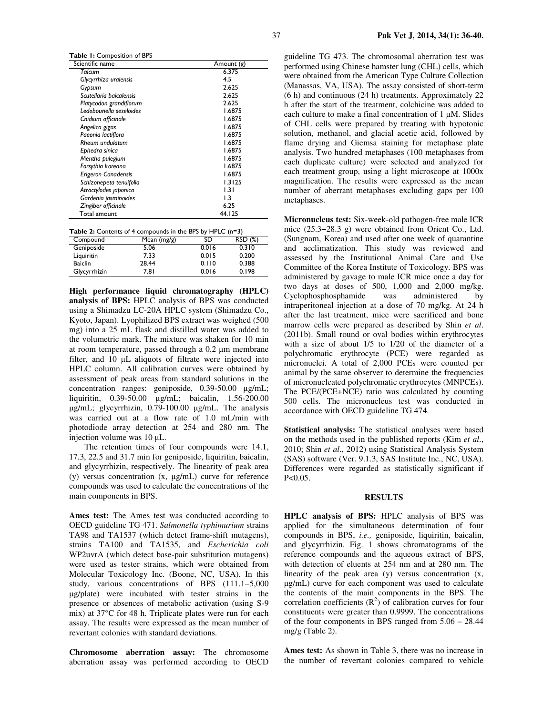Table 1: Composition of BPS

| Scientific name          | Amount (g)       |
|--------------------------|------------------|
| Talcum                   | 6.375            |
| Glycyrrhiza uralensis    | 4.5              |
| Gypsum                   | 2.625            |
| Scutellaria baicalensis  | 2.625            |
| Platycodon grandiflorum  | 2.625            |
| Ledebouriella seseloides | 1.6875           |
| Cnidium officinale       | 1.6875           |
| Angelica gigas           | 1.6875           |
| Paeonia lactiflora       | 1.6875           |
| Rheum undulatum          | 1.6875           |
| Ephedra sinica           | 1.6875           |
| Mentha pulegium          | 1.6875           |
| Forsythia koreana        | 1.6875           |
| Erigeron Canadensis      | 1.6875           |
| Schizonepeta tenuifolia  | 1.3125           |
| Atractylodes japonica    | 1.31             |
| Gardenia jasminoides     | $\overline{1.3}$ |
| Zingiber officinale      | 6.25             |
| Total amount             | 44. I 25         |

|  |  |  | Table 2: Contents of 4 compounds in the BPS by HPLC (n=3) |
|--|--|--|-----------------------------------------------------------|
|--|--|--|-----------------------------------------------------------|

| Compound       | Mean $(mg/g)$ | SD    | RSD (%) |
|----------------|---------------|-------|---------|
| Geniposide     | 5.06          | 0.016 | 0.310   |
| Liquiritin     | 7.33          | 0.015 | 0.200   |
| <b>Baiclin</b> | 28.44         | 0.110 | 0.388   |
| Glycyrrhizin   | 7.8 I         | 0.016 | 0.198   |

**High performance liquid chromatography (HPLC) analysis of BPS:** HPLC analysis of BPS was conducted using a Shimadzu LC-20A HPLC system (Shimadzu Co., Kyoto, Japan). Lyophilized BPS extract was weighed (500 mg) into a 25 mL flask and distilled water was added to the volumetric mark. The mixture was shaken for 10 min at room temperature, passed through a 0.2 µm membrane filter, and 10 µL aliquots of filtrate were injected into HPLC column. All calibration curves were obtained by assessment of peak areas from standard solutions in the concentration ranges: geniposide, 0.39-50.00 µg/mL; liquiritin, 0.39-50.00 µg/mL; baicalin, 1.56-200.00 µg/mL; glycyrrhizin, 0.79-100.00 µg/mL. The analysis was carried out at a flow rate of 1.0 mL/min with photodiode array detection at 254 and 280 nm. The injection volume was 10 µL.

The retention times of four compounds were 14.1, 17.3, 22.5 and 31.7 min for geniposide, liquiritin, baicalin, and glycyrrhizin, respectively. The linearity of peak area (y) versus concentration (x, µg/mL) curve for reference compounds was used to calculate the concentrations of the main components in BPS.

**Ames test:** The Ames test was conducted according to OECD guideline TG 471. *Salmonella typhimurium* strains TA98 and TA1537 (which detect frame-shift mutagens), strains TA100 and TA1535, and *Escherichia coli* WP2uvrA (which detect base-pair substitution mutagens) were used as tester strains, which were obtained from Molecular Toxicology Inc. (Boone, NC, USA). In this study, various concentrations of BPS (111.1−5,000 µg/plate) were incubated with tester strains in the presence or absences of metabolic activation (using S-9 mix) at 37°C for 48 h. Triplicate plates were run for each assay. The results were expressed as the mean number of revertant colonies with standard deviations.

**Chromosome aberration assay:** The chromosome aberration assay was performed according to OECD

guideline TG 473. The chromosomal aberration test was performed using Chinese hamster lung (CHL) cells, which were obtained from the American Type Culture Collection (Manassas, VA, USA). The assay consisted of short-term (6 h) and continuous (24 h) treatments. Approximately 22 h after the start of the treatment, colchicine was added to each culture to make a final concentration of  $1 \mu M$ . Slides of CHL cells were prepared by treating with hypotonic solution, methanol, and glacial acetic acid, followed by flame drying and Giemsa staining for metaphase plate analysis. Two hundred metaphases (100 metaphases from each duplicate culture) were selected and analyzed for each treatment group, using a light microscope at 1000x magnification. The results were expressed as the mean number of aberrant metaphases excluding gaps per 100 metaphases.

**Micronucleus test:** Six-week-old pathogen-free male ICR mice (25.3−28.3 g) were obtained from Orient Co., Ltd. (Sungnam, Korea) and used after one week of quarantine and acclimatization. This study was reviewed and assessed by the Institutional Animal Care and Use Committee of the Korea Institute of Toxicology. BPS was administered by gavage to male ICR mice once a day for two days at doses of 500, 1,000 and 2,000 mg/kg.<br>Cyclophosphosphamide was administered by Cyclophosphosphamide was administered by intraperitoneal injection at a dose of 70 mg/kg. At 24 h after the last treatment, mice were sacrificed and bone marrow cells were prepared as described by Shin *et al*. (2011b). Small round or oval bodies within erythrocytes with a size of about 1/5 to 1/20 of the diameter of a polychromatic erythrocyte (PCE) were regarded as micronuclei. A total of 2,000 PCEs were counted per animal by the same observer to determine the frequencies of micronucleated polychromatic erythrocytes (MNPCEs). The PCE/(PCE+NCE) ratio was calculated by counting 500 cells. The micronucleus test was conducted in accordance with OECD guideline TG 474.

**Statistical analysis:** The statistical analyses were based on the methods used in the published reports (Kim *et al*., 2010; Shin *et al*., 2012) using Statistical Analysis System (SAS) software (Ver. 9.1.3, SAS Institute Inc., NC, USA). Differences were regarded as statistically significant if  $P < 0.05$ .

#### **RESULTS**

**HPLC analysis of BPS:** HPLC analysis of BPS was applied for the simultaneous determination of four compounds in BPS, *i.e.,* geniposide, liquiritin, baicalin, and glycyrrhizin. Fig. 1 shows chromatograms of the reference compounds and the aqueous extract of BPS, with detection of eluents at 254 nm and at 280 nm. The linearity of the peak area (y) versus concentration (x, µg/mL) curve for each component was used to calculate the contents of the main components in the BPS. The correlation coefficients  $(R^2)$  of calibration curves for four constituents were greater than 0.9999. The concentrations of the four components in BPS ranged from 5.06 – 28.44 mg/g (Table 2).

**Ames test:** As shown in Table 3, there was no increase in the number of revertant colonies compared to vehicle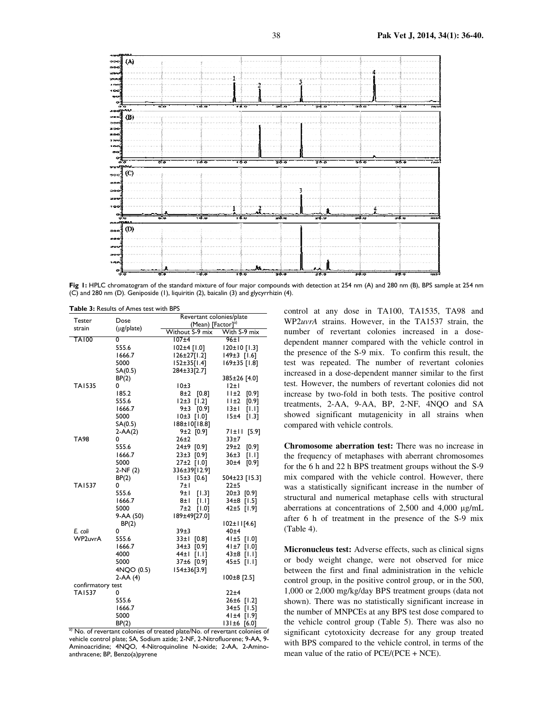

Fig 1: HPLC chromatogram of the standard mixture of four major compounds with detection at 254 nm (A) and 280 nm (B), BPS sample at 254 nm (C) and 280 nm (D). Geniposide (1), liquiritin (2), baicalin (3) and glycyrrhizin (4).

|  |  | <b>Table 3: Results of Ames test with BPS</b> |  |
|--|--|-----------------------------------------------|--|
|  |  |                                               |  |

|                   | Dose       | Revertant colonies/plate      |                    |  |
|-------------------|------------|-------------------------------|--------------------|--|
| Tester            |            | (Mean) [Factor] <sup>a)</sup> |                    |  |
| strain            | (µg/plate) | Without S-9 mix               | With S-9 mix       |  |
| <b>TA100</b>      | 0          | 107±4                         | 96±1               |  |
|                   | 555.6      | 102±4 [1.0]                   | 120±10 [1.3]       |  |
|                   | 1666.7     | 126±27[1.2]                   | $149±3$ [1.6]      |  |
|                   | 5000       | $152 \pm 35$ [1.4]            | 169±35 [1.8]       |  |
|                   | SA(0.5)    | 284±33[2.7]                   |                    |  |
|                   | BP(2)      |                               | 385±26 [4.0]       |  |
| <b>TA1535</b>     | 0          | 10±3                          | 12±1               |  |
|                   | 185.2      | $8±2$ [0.8]                   | 11±2<br>[0.9]      |  |
|                   | 555.6      | $12±3$ [1.2]                  | 11±2<br>[0.9]      |  |
|                   | 1666.7     | 9±3 [0.9]                     | 13±1<br>[1.1]      |  |
|                   | 5000       | $10±3$ [1.0]                  | 15±4<br>$[1.3]$    |  |
|                   | SA(0.5)    | 188±10[18.8]                  |                    |  |
|                   | $2-AA(2)$  | $9±2$ [0.9]                   | 71±11 [5.9]        |  |
| <b>TA98</b>       | 0          | $26 + 2$                      | 33±7               |  |
|                   | 555.6      | 24±9 [0.9]                    | 29±2<br>[0.9]      |  |
|                   | 1666.7     | 23±3 [0.9]                    | 36±3<br>[1.1]      |  |
|                   | 5000       | 27±2 [1.0]                    | 30±4<br>[0.9]      |  |
|                   | $2-NF(2)$  | 336±39[12.9]                  |                    |  |
|                   | BP(2)      | $15±3$ [0.6]                  | 504±23 [15.3]      |  |
| <b>TA1537</b>     | 0          | 7±I                           | 22±5               |  |
|                   | 555.6      | 9±1<br>$[1.3]$                | $20±3$ [0.9]       |  |
|                   | 1666.7     | 8±1<br>[1.1]                  | 34±8 [1.5]         |  |
|                   | 5000       | 7±2<br>[1.0]                  | 42±5 [1.9]         |  |
|                   | 9-AA (50)  | 189±49[27.0]                  |                    |  |
|                   | BP(2)      |                               | $102 \pm 11$ [4.6] |  |
| E. coli           | 0          | 39±3                          | 40±4               |  |
| WP2uvrA           | 555.6      | $33±1$ [0.8]                  | $41±5$ [1.0]       |  |
|                   | 1666.7     | 34±3 [0.9]                    | 41±7 [1.0]         |  |
|                   | 4000       | 44±l<br>[1.1]                 | $43±8$ [1.1]       |  |
|                   | 5000       | 37±6 [0.9]                    | 45±5 [1.1]         |  |
|                   | 4NQO (0.5) | I54±36[3.9]                   |                    |  |
|                   | 2-AA (4)   |                               | $100±8$ [2.5]      |  |
| confirmatory test |            |                               |                    |  |
| <b>TA1537</b>     | 0          |                               | 22±4               |  |
|                   | 555.6      |                               | 26±6 [1.2]         |  |
|                   | 1666.7     |                               | 34±5 [1.5]         |  |
|                   | 5000       |                               | $41±4$ [1.9]       |  |
|                   | BP(2)      |                               | $131±6$ [6.0]      |  |

a) No. of revertant colonies of treated plate/No. of revertant colonies of vehicle control plate; SA, Sodium azide; 2-NF, 2-Nitrofluorene; 9-AA, 9- Aminoacridine; 4NQO, 4-Nitroquinoline N-oxide; 2-AA, 2-Aminoanthracene; BP, Benzo(a)pyrene

control at any dose in TA100, TA1535, TA98 and WP2*uvrA* strains. However, in the TA1537 strain, the number of revertant colonies increased in a dosedependent manner compared with the vehicle control in the presence of the S-9 mix. To confirm this result, the test was repeated. The number of revertant colonies increased in a dose-dependent manner similar to the first test. However, the numbers of revertant colonies did not increase by two-fold in both tests. The positive control treatments, 2-AA, 9-AA, BP, 2-NF, 4NQO and SA showed significant mutagenicity in all strains when compared with vehicle controls.

**Chromosome aberration test:** There was no increase in the frequency of metaphases with aberrant chromosomes for the 6 h and 22 h BPS treatment groups without the S-9 mix compared with the vehicle control. However, there was a statistically significant increase in the number of structural and numerical metaphase cells with structural aberrations at concentrations of 2,500 and 4,000 µg/mL after 6 h of treatment in the presence of the S-9 mix (Table 4).

**Micronucleus test:** Adverse effects, such as clinical signs or body weight change, were not observed for mice between the first and final administration in the vehicle control group, in the positive control group, or in the 500, 1,000 or 2,000 mg/kg/day BPS treatment groups (data not shown). There was no statistically significant increase in the number of MNPCEs at any BPS test dose compared to the vehicle control group (Table 5). There was also no significant cytotoxicity decrease for any group treated with BPS compared to the vehicle control, in terms of the mean value of the ratio of PCE/(PCE + NCE).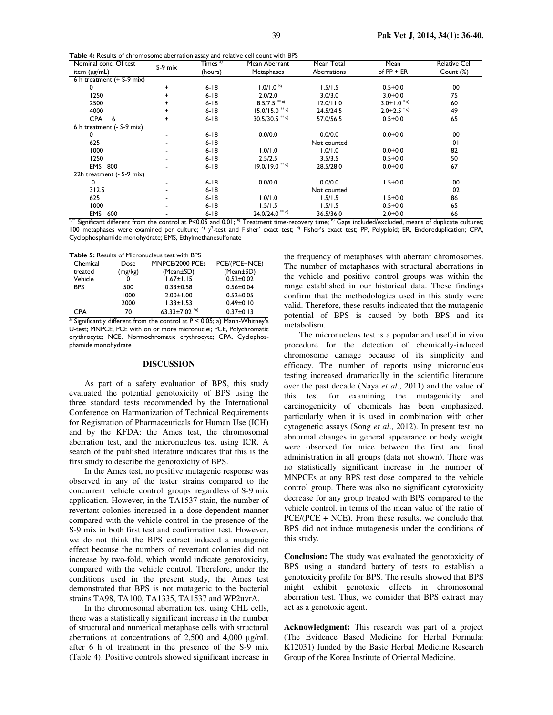Table 4: Results of chromosome aberration assay and relative cell count with BPS

| Nominal conc. Of test       | $S-9$ mix | Times <sup>a)</sup> | Mean Aberrant                                                                                                                                                             | Mean Total  | Mean                     | <b>Relative Cell</b> |
|-----------------------------|-----------|---------------------|---------------------------------------------------------------------------------------------------------------------------------------------------------------------------|-------------|--------------------------|----------------------|
| item (µg/mL)                |           | (hours)             | Metaphases                                                                                                                                                                | Aberrations | of $PP + ER$             | Count (%)            |
| 6 h treatment $(+$ S-9 mix) |           |                     |                                                                                                                                                                           |             |                          |                      |
| 0                           | $\ddot{}$ | $6 - 18$            | 1.0/1.0 <sup>b</sup>                                                                                                                                                      | 1.5/1.5     | $0.5 + 0.0$              | 100                  |
| 1250                        | $\ddot{}$ | $6 - 18$            | 2.0/2.0                                                                                                                                                                   | 3.0/3.0     | $3.0 + 0.0$              | 75                   |
| 2500                        | +         | $6 - 18$            | $8.5/7.5$ <sup>**</sup> c)                                                                                                                                                | 12.0/11.0   | $3.0+1.0^{+c}$           | 60                   |
| 4000                        | $\ddot{}$ | $6 - 18$            | $15.0/15.0$ <sup>**</sup> c)                                                                                                                                              | 24.5/24.5   | $2.0+2.5$ <sup>*c)</sup> | 49                   |
| <b>CPA</b><br>- 6           | $\ddot{}$ | $6 - 18$            | 30.5/30.5 $*$ <sup>4)</sup>                                                                                                                                               | 57.0/56.5   | $0.5 + 0.0$              | 65                   |
| 6 h treatment (- S-9 mix)   |           |                     |                                                                                                                                                                           |             |                          |                      |
| 0                           |           | $6 - 18$            | 0.0/0.0                                                                                                                                                                   | 0.0/0.0     | $0.0 + 0.0$              | 100                  |
| 625                         |           | $6 - 18$            |                                                                                                                                                                           | Not counted |                          | 101                  |
| 1000                        |           | $6 - 18$            | 1.0/1.0                                                                                                                                                                   | 1.0/1.0     | $0.0 + 0.0$              | 82                   |
| 1250                        |           | $6 - 18$            | 2.5/2.5                                                                                                                                                                   | 3.5/3.5     | $0.5 + 0.0$              | 50                   |
| EMS 800                     |           | $6 - 18$            | $19.0/19.0$ <sup>**d)</sup>                                                                                                                                               | 28.5/28.0   | $0.0 + 0.0$              | 67                   |
| 22h treatment (- S-9 mix)   |           |                     |                                                                                                                                                                           |             |                          |                      |
| 0                           |           | $6 - 18$            | 0.0/0.0                                                                                                                                                                   | 0.0/0.0     | $1.5 + 0.0$              | 100                  |
| 312.5                       |           | $6 - 18$            |                                                                                                                                                                           | Not counted |                          | 102                  |
| 625                         |           | $6 - 18$            | 0.1/0.1                                                                                                                                                                   | 1.5/1.5     | $1.5 + 0.0$              | 86                   |
| 1000                        |           | $6 - 18$            | 1.5/1.5                                                                                                                                                                   | 1.5/1.5     | $0.5 + 0.0$              | 65                   |
| <b>EMS</b><br>600           |           | $6 - 18$            | $24.0/24.0$ <sup>** d)</sup>                                                                                                                                              | 36.5/36.0   | $2.0 + 0.0$              | 66                   |
|                             |           |                     | Significant different from the control at P<0.05 and 0.01: <sup>a)</sup> Treatment time-recovery time: <sup>b)</sup> Gaps included/excluded, means of duplicate cultures: |             |                          |                      |

100 metaphases were examined per culture; <sup>c)</sup> χ<sup>2</sup>-test and Fisher' exact test; <sup>d)</sup> Fisher's exact test; PP, Polyploid; ER, Endoreduplication; CPA, Cyclophosphamide monohydrate; EMS, Ethylmethanesulfonate

Table 5: Results of Micronucleus test with BPS

| Chemical   | Dose    | MNPCE/2000 PCEs                 | PCE/(PCE+NCE)   |
|------------|---------|---------------------------------|-----------------|
| treated    | (mg/kg) | (Mean±SD)                       | (Mean±SD)       |
| Vehicle    |         | $1.67 \pm 1.15$                 | $0.52 \pm 0.02$ |
| <b>BPS</b> | 500     | $0.33 \pm 0.58$                 | $0.56 + 0.04$   |
|            | 1000    | $2.00 \pm 1.00$                 | $0.52 + 0.05$   |
|            | 2000    | $1.33 \pm 1.53$                 | $0.49 \pm 0.10$ |
| CPA        | 70      | 63.33 $\pm$ 7.02 <sup>*a)</sup> | $0.37 \pm 0.13$ |

\* Significantly different from the control at P < 0.05; a) Mann-Whitney's U-test; MNPCE, PCE with on or more micronuclei; PCE, Polychromatic erythrocyte; NCE, Normochromatic erythrocyte; CPA, Cyclophosphamide monohydrate

### **DISCUSSION**

As part of a safety evaluation of BPS, this study evaluated the potential genotoxicity of BPS using the three standard tests recommended by the International Conference on Harmonization of Technical Requirements for Registration of Pharmaceuticals for Human Use (ICH) and by the KFDA: the Ames test, the chromosomal aberration test, and the micronucleus test using ICR. A search of the published literature indicates that this is the first study to describe the genotoxicity of BPS.

In the Ames test, no positive mutagenic response was observed in any of the tester strains compared to the concurrent vehicle control groups regardless of S-9 mix application. However, in the TA1537 stain, the number of revertant colonies increased in a dose-dependent manner compared with the vehicle control in the presence of the S-9 mix in both first test and confirmation test. However, we do not think the BPS extract induced a mutagenic effect because the numbers of revertant colonies did not increase by two-fold, which would indicate genotoxicity, compared with the vehicle control. Therefore, under the conditions used in the present study, the Ames test demonstrated that BPS is not mutagenic to the bacterial strains TA98, TA100, TA1335, TA1537 and WP2uvrA.

In the chromosomal aberration test using CHL cells, there was a statistically significant increase in the number of structural and numerical metaphase cells with structural aberrations at concentrations of 2,500 and 4,000 µg/mL after 6 h of treatment in the presence of the S-9 mix (Table 4). Positive controls showed significant increase in

the frequency of metaphases with aberrant chromosomes. The number of metaphases with structural aberrations in the vehicle and positive control groups was within the range established in our historical data. These findings confirm that the methodologies used in this study were valid. Therefore, these results indicated that the mutagenic potential of BPS is caused by both BPS and its metabolism.

The micronucleus test is a popular and useful in vivo procedure for the detection of chemically-induced chromosome damage because of its simplicity and efficacy. The number of reports using micronucleus testing increased dramatically in the scientific literature over the past decade (Naya *et al*., 2011) and the value of this test for examining the mutagenicity and carcinogenicity of chemicals has been emphasized, particularly when it is used in combination with other cytogenetic assays (Song *et al*., 2012). In present test, no abnormal changes in general appearance or body weight were observed for mice between the first and final administration in all groups (data not shown). There was no statistically significant increase in the number of MNPCEs at any BPS test dose compared to the vehicle control group. There was also no significant cytotoxicity decrease for any group treated with BPS compared to the vehicle control, in terms of the mean value of the ratio of PCE/(PCE + NCE). From these results, we conclude that BPS did not induce mutagenesis under the conditions of this study.

**Conclusion:** The study was evaluated the genotoxicity of BPS using a standard battery of tests to establish a genotoxicity profile for BPS. The results showed that BPS might exhibit genotoxic effects in chromosomal aberration test. Thus, we consider that BPS extract may act as a genotoxic agent.

**Acknowledgment:** This research was part of a project (The Evidence Based Medicine for Herbal Formula: K12031) funded by the Basic Herbal Medicine Research Group of the Korea Institute of Oriental Medicine.